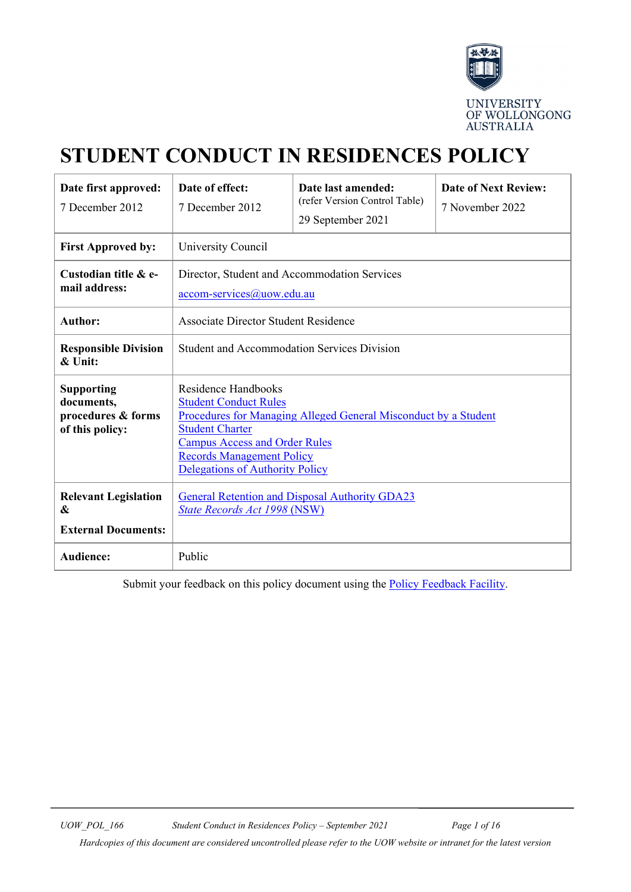

# **STUDENT CONDUCT IN RESIDENCES POLICY**

| Date first approved:<br>7 December 2012                                  | Date of effect:<br>7 December 2012                                                                                                                                                                                                                                     | Date last amended:<br>(refer Version Control Table)<br>29 September 2021 | <b>Date of Next Review:</b><br>7 November 2022 |
|--------------------------------------------------------------------------|------------------------------------------------------------------------------------------------------------------------------------------------------------------------------------------------------------------------------------------------------------------------|--------------------------------------------------------------------------|------------------------------------------------|
| <b>First Approved by:</b>                                                | University Council                                                                                                                                                                                                                                                     |                                                                          |                                                |
| Custodian title & e-<br>mail address:                                    | Director, Student and Accommodation Services<br>accom-services@uow.edu.au                                                                                                                                                                                              |                                                                          |                                                |
| <b>Author:</b>                                                           | Associate Director Student Residence                                                                                                                                                                                                                                   |                                                                          |                                                |
| <b>Responsible Division</b><br>$&$ Unit:                                 | <b>Student and Accommodation Services Division</b>                                                                                                                                                                                                                     |                                                                          |                                                |
| <b>Supporting</b><br>documents,<br>procedures & forms<br>of this policy: | <b>Residence Handbooks</b><br><b>Student Conduct Rules</b><br>Procedures for Managing Alleged General Misconduct by a Student<br><b>Student Charter</b><br><b>Campus Access and Order Rules</b><br><b>Records Management Policy</b><br>Delegations of Authority Policy |                                                                          |                                                |
| <b>Relevant Legislation</b><br>&<br><b>External Documents:</b>           | <b>General Retention and Disposal Authority GDA23</b><br><b>State Records Act 1998 (NSW)</b>                                                                                                                                                                           |                                                                          |                                                |
| <b>Audience:</b>                                                         | Public                                                                                                                                                                                                                                                                 |                                                                          |                                                |

Submit your feedback on this policy document using the [Policy Feedback Facility.](http://www.uow.edu.au/about/policy/feedback/index.html)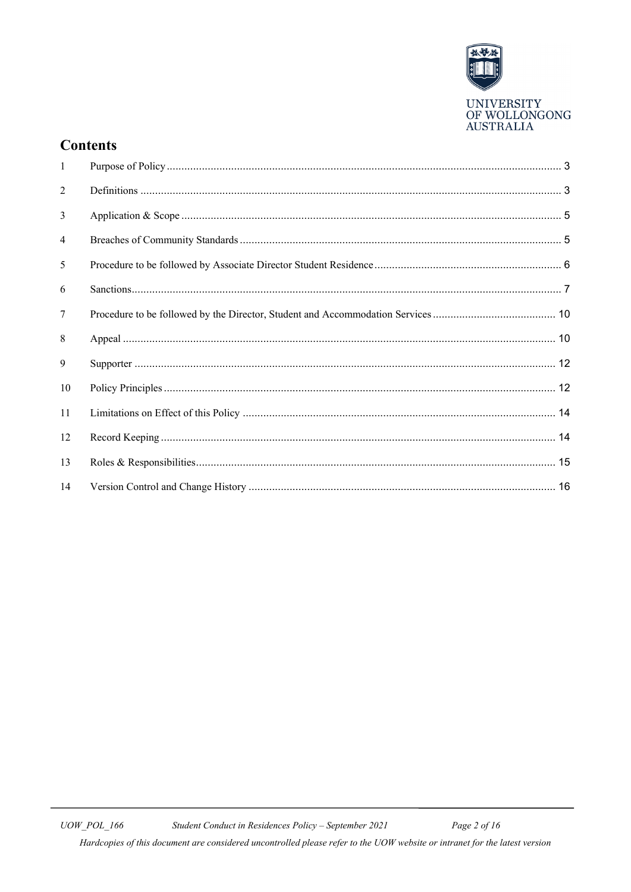

### **Contents**

| 1         |  |
|-----------|--|
| 2         |  |
| 3         |  |
| 4         |  |
| 5         |  |
| 6         |  |
| 7         |  |
| 8         |  |
| 9         |  |
| 10        |  |
| <b>11</b> |  |
| 12        |  |
| 13        |  |
| 14        |  |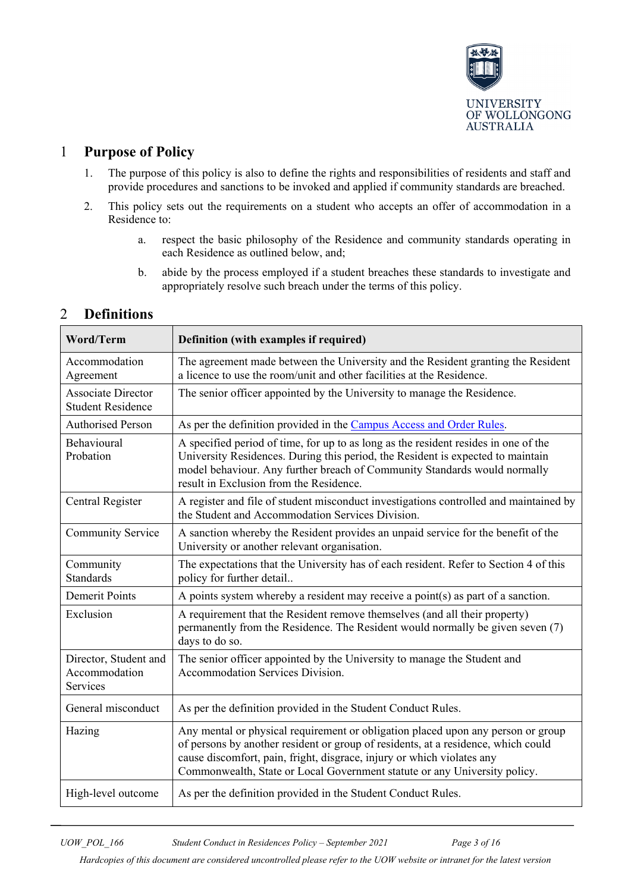

### <span id="page-2-0"></span>1 **Purpose of Policy**

- 1. The purpose of this policy is also to define the rights and responsibilities of residents and staff and provide procedures and sanctions to be invoked and applied if community standards are breached.
- 2. This policy sets out the requirements on a student who accepts an offer of accommodation in a Residence to:
	- a. respect the basic philosophy of the Residence and community standards operating in each Residence as outlined below, and;
	- b. abide by the process employed if a student breaches these standards to investigate and appropriately resolve such breach under the terms of this policy.

| <b>Word/Term</b>                                      | Definition (with examples if required)                                                                                                                                                                                                                                                                                       |
|-------------------------------------------------------|------------------------------------------------------------------------------------------------------------------------------------------------------------------------------------------------------------------------------------------------------------------------------------------------------------------------------|
| Accommodation<br>Agreement                            | The agreement made between the University and the Resident granting the Resident<br>a licence to use the room/unit and other facilities at the Residence.                                                                                                                                                                    |
| <b>Associate Director</b><br><b>Student Residence</b> | The senior officer appointed by the University to manage the Residence.                                                                                                                                                                                                                                                      |
| <b>Authorised Person</b>                              | As per the definition provided in the Campus Access and Order Rules.                                                                                                                                                                                                                                                         |
| Behavioural<br>Probation                              | A specified period of time, for up to as long as the resident resides in one of the<br>University Residences. During this period, the Resident is expected to maintain<br>model behaviour. Any further breach of Community Standards would normally<br>result in Exclusion from the Residence.                               |
| Central Register                                      | A register and file of student misconduct investigations controlled and maintained by<br>the Student and Accommodation Services Division.                                                                                                                                                                                    |
| <b>Community Service</b>                              | A sanction whereby the Resident provides an unpaid service for the benefit of the<br>University or another relevant organisation.                                                                                                                                                                                            |
| Community<br><b>Standards</b>                         | The expectations that the University has of each resident. Refer to Section 4 of this<br>policy for further detail                                                                                                                                                                                                           |
| <b>Demerit Points</b>                                 | A points system whereby a resident may receive a point(s) as part of a sanction.                                                                                                                                                                                                                                             |
| Exclusion                                             | A requirement that the Resident remove themselves (and all their property)<br>permanently from the Residence. The Resident would normally be given seven (7)<br>days to do so.                                                                                                                                               |
| Director, Student and<br>Accommodation<br>Services    | The senior officer appointed by the University to manage the Student and<br>Accommodation Services Division.                                                                                                                                                                                                                 |
| General misconduct                                    | As per the definition provided in the Student Conduct Rules.                                                                                                                                                                                                                                                                 |
| Hazing                                                | Any mental or physical requirement or obligation placed upon any person or group<br>of persons by another resident or group of residents, at a residence, which could<br>cause discomfort, pain, fright, disgrace, injury or which violates any<br>Commonwealth, State or Local Government statute or any University policy. |
| High-level outcome                                    | As per the definition provided in the Student Conduct Rules.                                                                                                                                                                                                                                                                 |

### <span id="page-2-1"></span>2 **Definitions**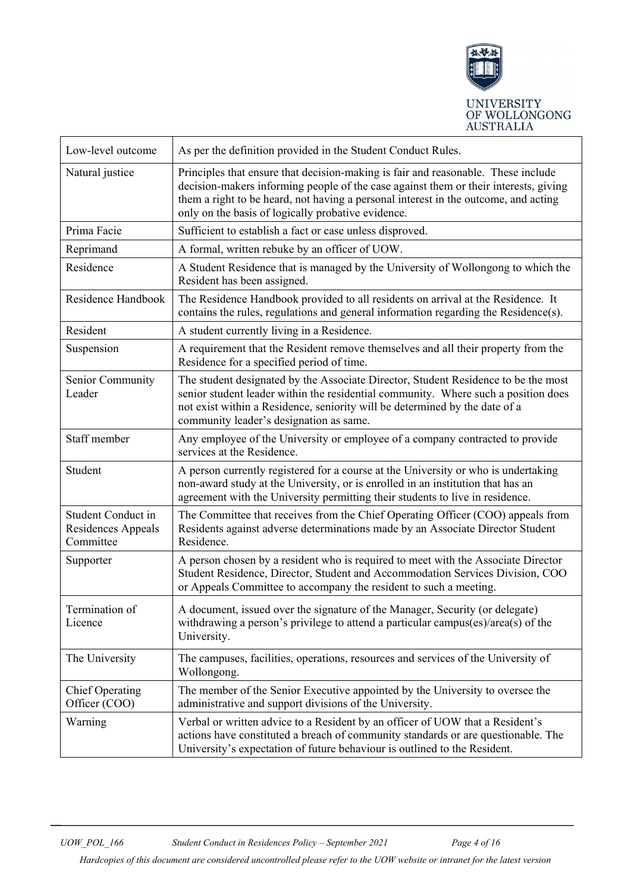

| Low-level outcome                                            | As per the definition provided in the Student Conduct Rules.                                                                                                                                                                                                                                                           |
|--------------------------------------------------------------|------------------------------------------------------------------------------------------------------------------------------------------------------------------------------------------------------------------------------------------------------------------------------------------------------------------------|
| Natural justice                                              | Principles that ensure that decision-making is fair and reasonable. These include<br>decision-makers informing people of the case against them or their interests, giving<br>them a right to be heard, not having a personal interest in the outcome, and acting<br>only on the basis of logically probative evidence. |
| Prima Facie                                                  | Sufficient to establish a fact or case unless disproved.                                                                                                                                                                                                                                                               |
| Reprimand                                                    | A formal, written rebuke by an officer of UOW.                                                                                                                                                                                                                                                                         |
| Residence                                                    | A Student Residence that is managed by the University of Wollongong to which the<br>Resident has been assigned.                                                                                                                                                                                                        |
| Residence Handbook                                           | The Residence Handbook provided to all residents on arrival at the Residence. It<br>contains the rules, regulations and general information regarding the Residence(s).                                                                                                                                                |
| Resident                                                     | A student currently living in a Residence.                                                                                                                                                                                                                                                                             |
| Suspension                                                   | A requirement that the Resident remove themselves and all their property from the<br>Residence for a specified period of time.                                                                                                                                                                                         |
| Senior Community<br>Leader                                   | The student designated by the Associate Director, Student Residence to be the most<br>senior student leader within the residential community. Where such a position does<br>not exist within a Residence, seniority will be determined by the date of a<br>community leader's designation as same.                     |
| Staff member                                                 | Any employee of the University or employee of a company contracted to provide<br>services at the Residence.                                                                                                                                                                                                            |
| Student                                                      | A person currently registered for a course at the University or who is undertaking<br>non-award study at the University, or is enrolled in an institution that has an<br>agreement with the University permitting their students to live in residence.                                                                 |
| <b>Student Conduct in</b><br>Residences Appeals<br>Committee | The Committee that receives from the Chief Operating Officer (COO) appeals from<br>Residents against adverse determinations made by an Associate Director Student<br>Residence.                                                                                                                                        |
| Supporter                                                    | A person chosen by a resident who is required to meet with the Associate Director<br>Student Residence, Director, Student and Accommodation Services Division, COO<br>or Appeals Committee to accompany the resident to such a meeting.                                                                                |
| Termination of<br>Licence                                    | A document, issued over the signature of the Manager, Security (or delegate)<br>withdrawing a person's privilege to attend a particular campus(es)/area(s) of the<br>University.                                                                                                                                       |
| The University                                               | The campuses, facilities, operations, resources and services of the University of<br>Wollongong.                                                                                                                                                                                                                       |
| <b>Chief Operating</b><br>Officer (COO)                      | The member of the Senior Executive appointed by the University to oversee the<br>administrative and support divisions of the University.                                                                                                                                                                               |
| Warning                                                      | Verbal or written advice to a Resident by an officer of UOW that a Resident's<br>actions have constituted a breach of community standards or are questionable. The<br>University's expectation of future behaviour is outlined to the Resident.                                                                        |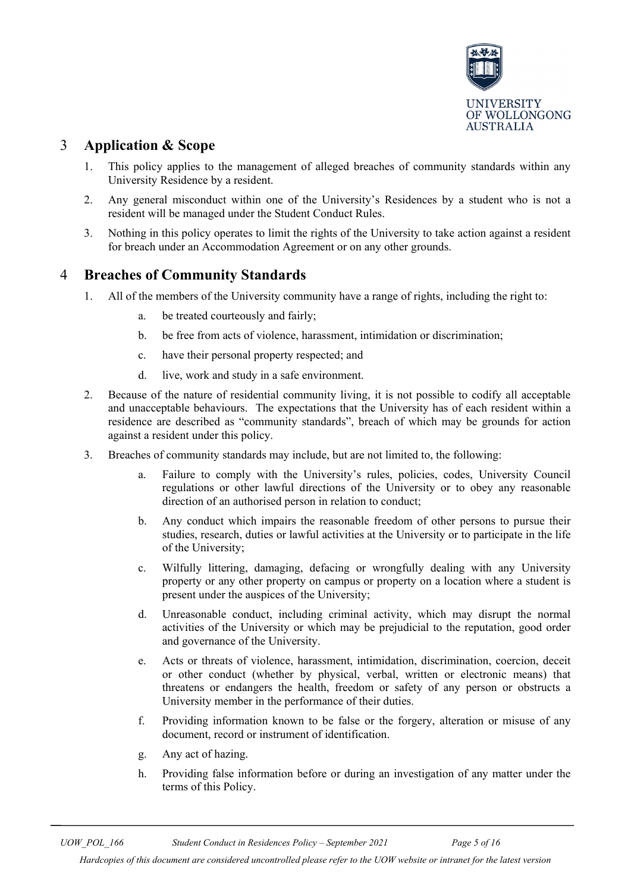

### <span id="page-4-0"></span>3 **Application & Scope**

- 1. This policy applies to the management of alleged breaches of community standards within any University Residence by a resident.
- 2. Any general misconduct within one of the University's Residences by a student who is not a resident will be managed under the Student Conduct Rules.
- 3. Nothing in this policy operates to limit the rights of the University to take action against a resident for breach under an Accommodation Agreement or on any other grounds.

### <span id="page-4-1"></span>4 **Breaches of Community Standards**

- 1. All of the members of the University community have a range of rights, including the right to:
	- a. be treated courteously and fairly;
	- b. be free from acts of violence, harassment, intimidation or discrimination;
	- c. have their personal property respected; and
	- d. live, work and study in a safe environment.
- 2. Because of the nature of residential community living, it is not possible to codify all acceptable and unacceptable behaviours. The expectations that the University has of each resident within a residence are described as "community standards", breach of which may be grounds for action against a resident under this policy.
- 3. Breaches of community standards may include, but are not limited to, the following:
	- a. Failure to comply with the University's rules, policies, codes, University Council regulations or other lawful directions of the University or to obey any reasonable direction of an authorised person in relation to conduct;
	- b. Any conduct which impairs the reasonable freedom of other persons to pursue their studies, research, duties or lawful activities at the University or to participate in the life of the University;
	- c. Wilfully littering, damaging, defacing or wrongfully dealing with any University property or any other property on campus or property on a location where a student is present under the auspices of the University;
	- d. Unreasonable conduct, including criminal activity, which may disrupt the normal activities of the University or which may be prejudicial to the reputation, good order and governance of the University.
	- e. Acts or threats of violence, harassment, intimidation, discrimination, coercion, deceit or other conduct (whether by physical, verbal, written or electronic means) that threatens or endangers the health, freedom or safety of any person or obstructs a University member in the performance of their duties.
	- f. Providing information known to be false or the forgery, alteration or misuse of any document, record or instrument of identification.
	- g. Any act of hazing.
	- h. Providing false information before or during an investigation of any matter under the terms of this Policy.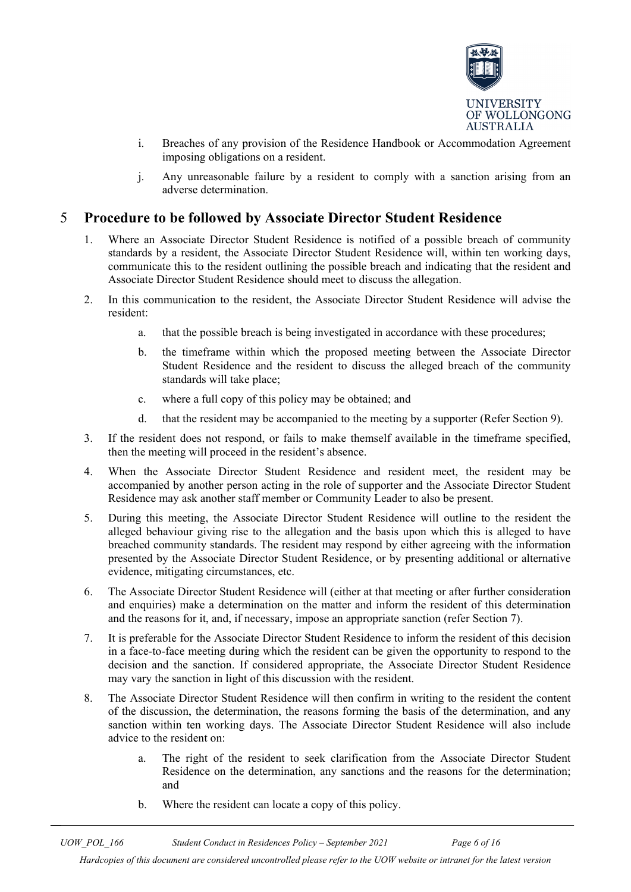

- i. Breaches of any provision of the Residence Handbook or Accommodation Agreement imposing obligations on a resident.
- j. Any unreasonable failure by a resident to comply with a sanction arising from an adverse determination.

### <span id="page-5-0"></span>5 **Procedure to be followed by Associate Director Student Residence**

- 1. Where an Associate Director Student Residence is notified of a possible breach of community standards by a resident, the Associate Director Student Residence will, within ten working days, communicate this to the resident outlining the possible breach and indicating that the resident and Associate Director Student Residence should meet to discuss the allegation.
- 2. In this communication to the resident, the Associate Director Student Residence will advise the resident:
	- a. that the possible breach is being investigated in accordance with these procedures;
	- b. the timeframe within which the proposed meeting between the Associate Director Student Residence and the resident to discuss the alleged breach of the community standards will take place;
	- c. where a full copy of this policy may be obtained; and
	- d. that the resident may be accompanied to the meeting by a supporter (Refer Section 9).
- 3. If the resident does not respond, or fails to make themself available in the timeframe specified, then the meeting will proceed in the resident's absence.
- 4. When the Associate Director Student Residence and resident meet, the resident may be accompanied by another person acting in the role of supporter and the Associate Director Student Residence may ask another staff member or Community Leader to also be present.
- 5. During this meeting, the Associate Director Student Residence will outline to the resident the alleged behaviour giving rise to the allegation and the basis upon which this is alleged to have breached community standards. The resident may respond by either agreeing with the information presented by the Associate Director Student Residence, or by presenting additional or alternative evidence, mitigating circumstances, etc.
- 6. The Associate Director Student Residence will (either at that meeting or after further consideration and enquiries) make a determination on the matter and inform the resident of this determination and the reasons for it, and, if necessary, impose an appropriate sanction (refer Section 7).
- 7. It is preferable for the Associate Director Student Residence to inform the resident of this decision in a face-to-face meeting during which the resident can be given the opportunity to respond to the decision and the sanction. If considered appropriate, the Associate Director Student Residence may vary the sanction in light of this discussion with the resident.
- 8. The Associate Director Student Residence will then confirm in writing to the resident the content of the discussion, the determination, the reasons forming the basis of the determination, and any sanction within ten working days. The Associate Director Student Residence will also include advice to the resident on:
	- a. The right of the resident to seek clarification from the Associate Director Student Residence on the determination, any sanctions and the reasons for the determination; and
	- b. Where the resident can locate a copy of this policy.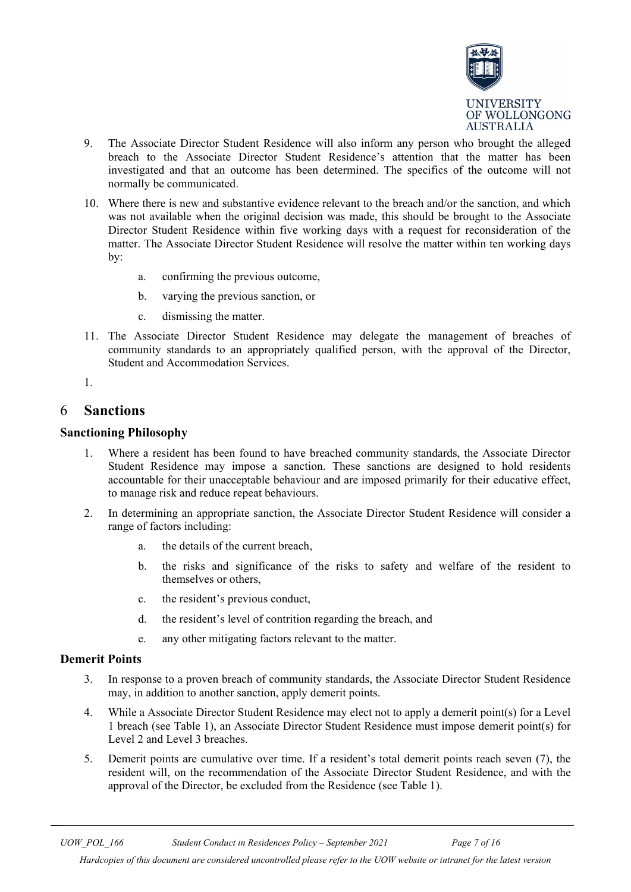

- 9. The Associate Director Student Residence will also inform any person who brought the alleged breach to the Associate Director Student Residence's attention that the matter has been investigated and that an outcome has been determined. The specifics of the outcome will not normally be communicated.
- 10. Where there is new and substantive evidence relevant to the breach and/or the sanction, and which was not available when the original decision was made, this should be brought to the Associate Director Student Residence within five working days with a request for reconsideration of the matter. The Associate Director Student Residence will resolve the matter within ten working days by:
	- a. confirming the previous outcome,
	- b. varying the previous sanction, or
	- c. dismissing the matter.
- 11. The Associate Director Student Residence may delegate the management of breaches of community standards to an appropriately qualified person, with the approval of the Director, Student and Accommodation Services.
- 1.

#### <span id="page-6-0"></span>6 **Sanctions**

#### **Sanctioning Philosophy**

- 1. Where a resident has been found to have breached community standards, the Associate Director Student Residence may impose a sanction. These sanctions are designed to hold residents accountable for their unacceptable behaviour and are imposed primarily for their educative effect, to manage risk and reduce repeat behaviours.
- 2. In determining an appropriate sanction, the Associate Director Student Residence will consider a range of factors including:
	- a. the details of the current breach,
	- b. the risks and significance of the risks to safety and welfare of the resident to themselves or others,
	- c. the resident's previous conduct,
	- d. the resident's level of contrition regarding the breach, and
	- e. any other mitigating factors relevant to the matter.

#### **Demerit Points**

- 3. In response to a proven breach of community standards, the Associate Director Student Residence may, in addition to another sanction, apply demerit points.
- 4. While a Associate Director Student Residence may elect not to apply a demerit point(s) for a Level 1 breach (see Table 1), an Associate Director Student Residence must impose demerit point(s) for Level 2 and Level 3 breaches.
- 5. Demerit points are cumulative over time. If a resident's total demerit points reach seven (7), the resident will, on the recommendation of the Associate Director Student Residence, and with the approval of the Director, be excluded from the Residence (see Table 1).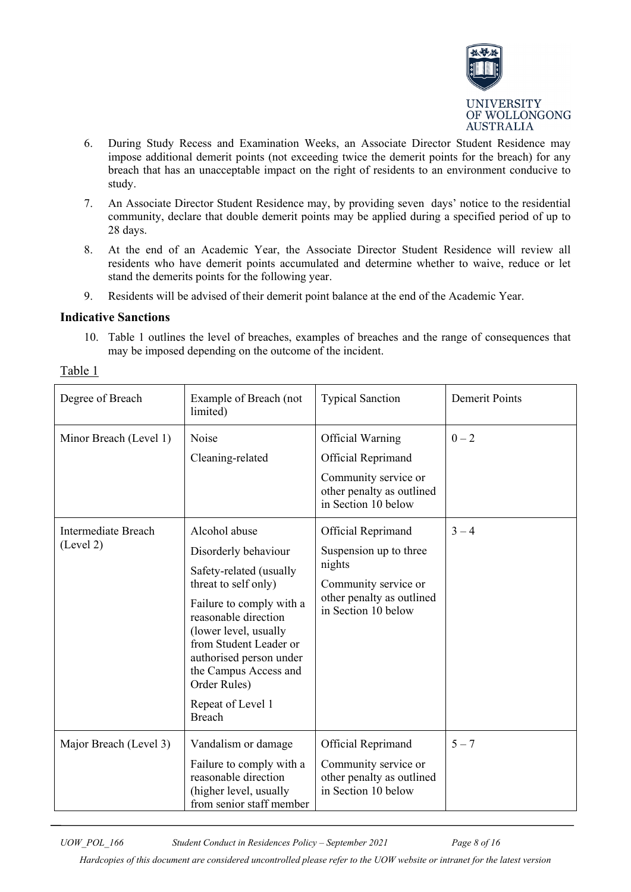

- 6. During Study Recess and Examination Weeks, an Associate Director Student Residence may impose additional demerit points (not exceeding twice the demerit points for the breach) for any breach that has an unacceptable impact on the right of residents to an environment conducive to study.
- 7. An Associate Director Student Residence may, by providing seven days' notice to the residential community, declare that double demerit points may be applied during a specified period of up to 28 days.
- 8. At the end of an Academic Year, the Associate Director Student Residence will review all residents who have demerit points accumulated and determine whether to waive, reduce or let stand the demerits points for the following year.
- 9. Residents will be advised of their demerit point balance at the end of the Academic Year.

#### **Indicative Sanctions**

10. Table 1 outlines the level of breaches, examples of breaches and the range of consequences that may be imposed depending on the outcome of the incident.

| Degree of Breach                        | Example of Breach (not<br>limited)                                                                                                                                                                                                                                                                        | <b>Typical Sanction</b>                                                                                                            | <b>Demerit Points</b> |
|-----------------------------------------|-----------------------------------------------------------------------------------------------------------------------------------------------------------------------------------------------------------------------------------------------------------------------------------------------------------|------------------------------------------------------------------------------------------------------------------------------------|-----------------------|
| Minor Breach (Level 1)                  | Noise<br>Cleaning-related                                                                                                                                                                                                                                                                                 | Official Warning<br>Official Reprimand<br>Community service or<br>other penalty as outlined<br>in Section 10 below                 | $0 - 2$               |
| <b>Intermediate Breach</b><br>(Level 2) | Alcohol abuse<br>Disorderly behaviour<br>Safety-related (usually<br>threat to self only)<br>Failure to comply with a<br>reasonable direction<br>(lower level, usually<br>from Student Leader or<br>authorised person under<br>the Campus Access and<br>Order Rules)<br>Repeat of Level 1<br><b>Breach</b> | Official Reprimand<br>Suspension up to three<br>nights<br>Community service or<br>other penalty as outlined<br>in Section 10 below | $3 - 4$               |
| Major Breach (Level 3)                  | Vandalism or damage<br>Failure to comply with a<br>reasonable direction<br>(higher level, usually<br>from senior staff member                                                                                                                                                                             | Official Reprimand<br>Community service or<br>other penalty as outlined<br>in Section 10 below                                     | $5 - 7$               |

Table 1

*UOW\_POL\_166 Student Conduct in Residences Policy – September 2021 Page 8 of 16*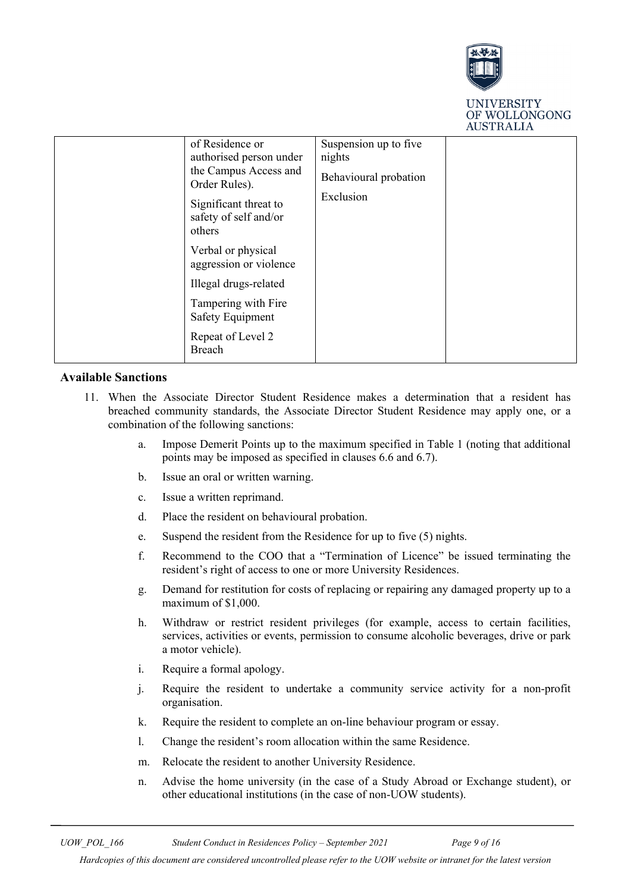

**UNIVERSITY** OF WOLLONGONG **AUSTRALIA** 

| of Residence or<br>authorised person under<br>the Campus Access and<br>Order Rules).<br>Significant threat to<br>safety of self and/or<br>others | Suspension up to five<br>nights<br>Behavioural probation<br>Exclusion |  |
|--------------------------------------------------------------------------------------------------------------------------------------------------|-----------------------------------------------------------------------|--|
| Verbal or physical<br>aggression or violence                                                                                                     |                                                                       |  |
| Illegal drugs-related                                                                                                                            |                                                                       |  |
| Tampering with Fire<br><b>Safety Equipment</b>                                                                                                   |                                                                       |  |
| Repeat of Level 2<br>Breach                                                                                                                      |                                                                       |  |

#### **Available Sanctions**

- 11. When the Associate Director Student Residence makes a determination that a resident has breached community standards, the Associate Director Student Residence may apply one, or a combination of the following sanctions:
	- a. Impose Demerit Points up to the maximum specified in Table 1 (noting that additional points may be imposed as specified in clauses 6.6 and 6.7).
	- b. Issue an oral or written warning.
	- c. Issue a written reprimand.
	- d. Place the resident on behavioural probation.
	- e. Suspend the resident from the Residence for up to five (5) nights.
	- f. Recommend to the COO that a "Termination of Licence" be issued terminating the resident's right of access to one or more University Residences.
	- g. Demand for restitution for costs of replacing or repairing any damaged property up to a maximum of \$1,000.
	- h. Withdraw or restrict resident privileges (for example, access to certain facilities, services, activities or events, permission to consume alcoholic beverages, drive or park a motor vehicle).
	- i. Require a formal apology.
	- j. Require the resident to undertake a community service activity for a non-profit organisation.
	- k. Require the resident to complete an on-line behaviour program or essay.
	- l. Change the resident's room allocation within the same Residence.
	- m. Relocate the resident to another University Residence.
	- n. Advise the home university (in the case of a Study Abroad or Exchange student), or other educational institutions (in the case of non-UOW students).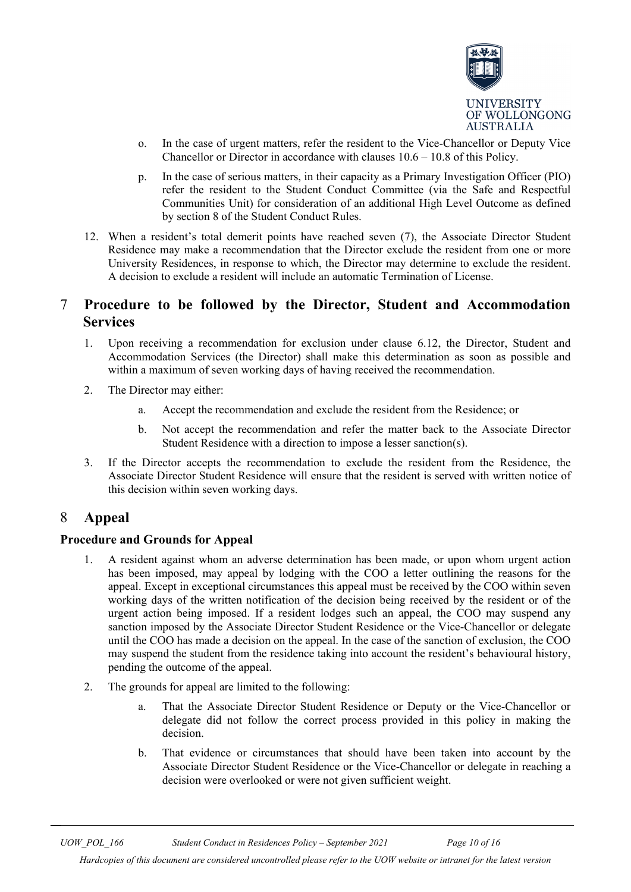

- o. In the case of urgent matters, refer the resident to the Vice-Chancellor or Deputy Vice Chancellor or Director in accordance with clauses 10.6 – 10.8 of this Policy.
- p. In the case of serious matters, in their capacity as a Primary Investigation Officer (PIO) refer the resident to the Student Conduct Committee (via the Safe and Respectful Communities Unit) for consideration of an additional High Level Outcome as defined by section 8 of the Student Conduct Rules.
- 12. When a resident's total demerit points have reached seven (7), the Associate Director Student Residence may make a recommendation that the Director exclude the resident from one or more University Residences, in response to which, the Director may determine to exclude the resident. A decision to exclude a resident will include an automatic Termination of License.

### <span id="page-9-0"></span>7 **Procedure to be followed by the Director, Student and Accommodation Services**

- 1. Upon receiving a recommendation for exclusion under clause 6.12, the Director, Student and Accommodation Services (the Director) shall make this determination as soon as possible and within a maximum of seven working days of having received the recommendation.
- 2. The Director may either:
	- a. Accept the recommendation and exclude the resident from the Residence; or
	- b. Not accept the recommendation and refer the matter back to the Associate Director Student Residence with a direction to impose a lesser sanction(s).
- 3. If the Director accepts the recommendation to exclude the resident from the Residence, the Associate Director Student Residence will ensure that the resident is served with written notice of this decision within seven working days.

### <span id="page-9-1"></span>8 **Appeal**

#### **Procedure and Grounds for Appeal**

- 1. A resident against whom an adverse determination has been made, or upon whom urgent action has been imposed, may appeal by lodging with the COO a letter outlining the reasons for the appeal. Except in exceptional circumstances this appeal must be received by the COO within seven working days of the written notification of the decision being received by the resident or of the urgent action being imposed. If a resident lodges such an appeal, the COO may suspend any sanction imposed by the Associate Director Student Residence or the Vice-Chancellor or delegate until the COO has made a decision on the appeal. In the case of the sanction of exclusion, the COO may suspend the student from the residence taking into account the resident's behavioural history, pending the outcome of the appeal.
- 2. The grounds for appeal are limited to the following:
	- a. That the Associate Director Student Residence or Deputy or the Vice-Chancellor or delegate did not follow the correct process provided in this policy in making the decision.
	- b. That evidence or circumstances that should have been taken into account by the Associate Director Student Residence or the Vice-Chancellor or delegate in reaching a decision were overlooked or were not given sufficient weight.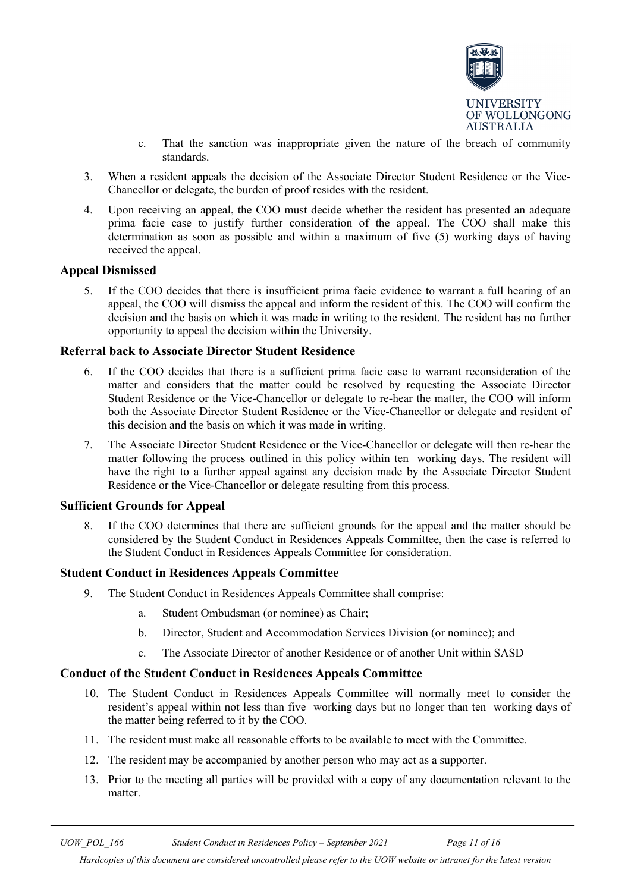

- c. That the sanction was inappropriate given the nature of the breach of community standards.
- 3. When a resident appeals the decision of the Associate Director Student Residence or the Vice-Chancellor or delegate, the burden of proof resides with the resident.
- 4. Upon receiving an appeal, the COO must decide whether the resident has presented an adequate prima facie case to justify further consideration of the appeal. The COO shall make this determination as soon as possible and within a maximum of five (5) working days of having received the appeal.

#### **Appeal Dismissed**

5. If the COO decides that there is insufficient prima facie evidence to warrant a full hearing of an appeal, the COO will dismiss the appeal and inform the resident of this. The COO will confirm the decision and the basis on which it was made in writing to the resident. The resident has no further opportunity to appeal the decision within the University.

#### **Referral back to Associate Director Student Residence**

- 6. If the COO decides that there is a sufficient prima facie case to warrant reconsideration of the matter and considers that the matter could be resolved by requesting the Associate Director Student Residence or the Vice-Chancellor or delegate to re-hear the matter, the COO will inform both the Associate Director Student Residence or the Vice-Chancellor or delegate and resident of this decision and the basis on which it was made in writing.
- 7. The Associate Director Student Residence or the Vice-Chancellor or delegate will then re-hear the matter following the process outlined in this policy within ten working days. The resident will have the right to a further appeal against any decision made by the Associate Director Student Residence or the Vice-Chancellor or delegate resulting from this process.

#### **Sufficient Grounds for Appeal**

8. If the COO determines that there are sufficient grounds for the appeal and the matter should be considered by the Student Conduct in Residences Appeals Committee, then the case is referred to the Student Conduct in Residences Appeals Committee for consideration.

#### **Student Conduct in Residences Appeals Committee**

- 9. The Student Conduct in Residences Appeals Committee shall comprise:
	- a. Student Ombudsman (or nominee) as Chair;
	- b. Director, Student and Accommodation Services Division (or nominee); and
	- c. The Associate Director of another Residence or of another Unit within SASD

#### **Conduct of the Student Conduct in Residences Appeals Committee**

- 10. The Student Conduct in Residences Appeals Committee will normally meet to consider the resident's appeal within not less than five working days but no longer than ten working days of the matter being referred to it by the COO.
- 11. The resident must make all reasonable efforts to be available to meet with the Committee.
- 12. The resident may be accompanied by another person who may act as a supporter.
- 13. Prior to the meeting all parties will be provided with a copy of any documentation relevant to the matter.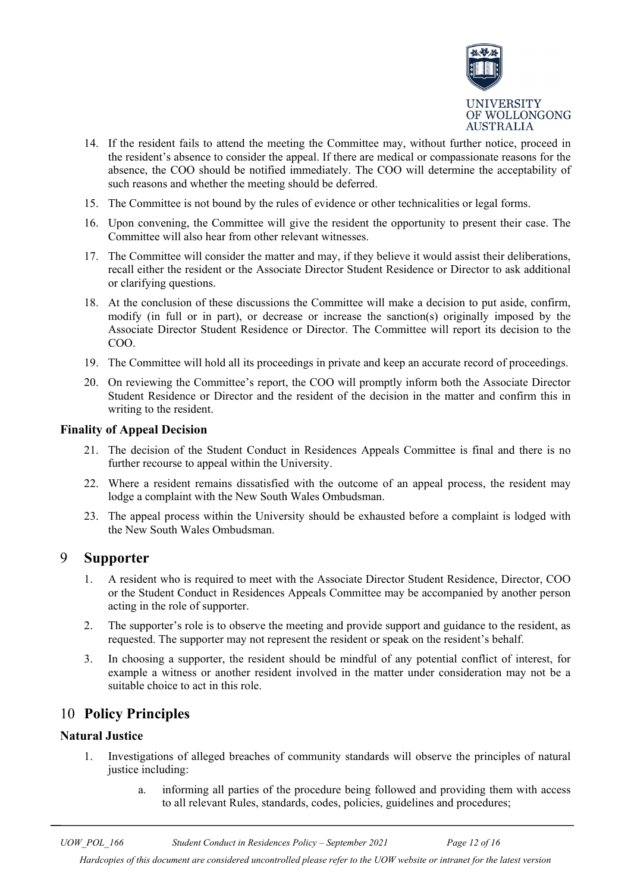

- 14. If the resident fails to attend the meeting the Committee may, without further notice, proceed in the resident's absence to consider the appeal. If there are medical or compassionate reasons for the absence, the COO should be notified immediately. The COO will determine the acceptability of such reasons and whether the meeting should be deferred.
- 15. The Committee is not bound by the rules of evidence or other technicalities or legal forms.
- 16. Upon convening, the Committee will give the resident the opportunity to present their case. The Committee will also hear from other relevant witnesses.
- 17. The Committee will consider the matter and may, if they believe it would assist their deliberations, recall either the resident or the Associate Director Student Residence or Director to ask additional or clarifying questions.
- 18. At the conclusion of these discussions the Committee will make a decision to put aside, confirm, modify (in full or in part), or decrease or increase the sanction(s) originally imposed by the Associate Director Student Residence or Director. The Committee will report its decision to the COO.
- 19. The Committee will hold all its proceedings in private and keep an accurate record of proceedings.
- 20. On reviewing the Committee's report, the COO will promptly inform both the Associate Director Student Residence or Director and the resident of the decision in the matter and confirm this in writing to the resident.

#### **Finality of Appeal Decision**

- 21. The decision of the Student Conduct in Residences Appeals Committee is final and there is no further recourse to appeal within the University.
- 22. Where a resident remains dissatisfied with the outcome of an appeal process, the resident may lodge a complaint with the New South Wales Ombudsman.
- 23. The appeal process within the University should be exhausted before a complaint is lodged with the New South Wales Ombudsman.

#### <span id="page-11-0"></span>9 **Supporter**

- 1. A resident who is required to meet with the Associate Director Student Residence, Director, COO or the Student Conduct in Residences Appeals Committee may be accompanied by another person acting in the role of supporter.
- 2. The supporter's role is to observe the meeting and provide support and guidance to the resident, as requested. The supporter may not represent the resident or speak on the resident's behalf.
- 3. In choosing a supporter, the resident should be mindful of any potential conflict of interest, for example a witness or another resident involved in the matter under consideration may not be a suitable choice to act in this role.

### <span id="page-11-1"></span>10 **Policy Principles**

#### **Natural Justice**

- 1. Investigations of alleged breaches of community standards will observe the principles of natural justice including:
	- a. informing all parties of the procedure being followed and providing them with access to all relevant Rules, standards, codes, policies, guidelines and procedures;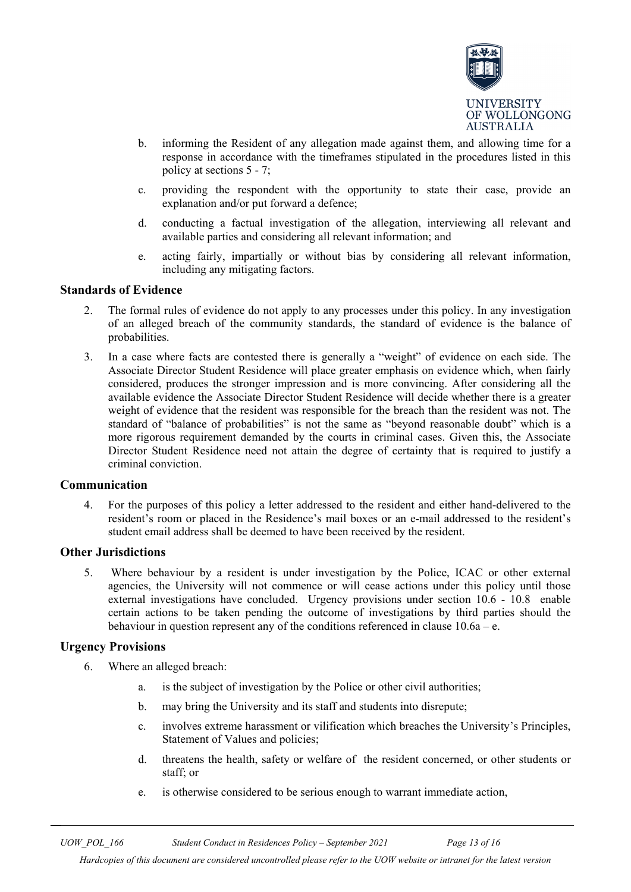

- b. informing the Resident of any allegation made against them, and allowing time for a response in accordance with the timeframes stipulated in the procedures listed in this policy at sections 5 - 7;
- c. providing the respondent with the opportunity to state their case, provide an explanation and/or put forward a defence;
- d. conducting a factual investigation of the allegation, interviewing all relevant and available parties and considering all relevant information; and
- e. acting fairly, impartially or without bias by considering all relevant information, including any mitigating factors.

#### **Standards of Evidence**

- 2. The formal rules of evidence do not apply to any processes under this policy. In any investigation of an alleged breach of the community standards, the standard of evidence is the balance of probabilities.
- 3. In a case where facts are contested there is generally a "weight" of evidence on each side. The Associate Director Student Residence will place greater emphasis on evidence which, when fairly considered, produces the stronger impression and is more convincing. After considering all the available evidence the Associate Director Student Residence will decide whether there is a greater weight of evidence that the resident was responsible for the breach than the resident was not. The standard of "balance of probabilities" is not the same as "beyond reasonable doubt" which is a more rigorous requirement demanded by the courts in criminal cases. Given this, the Associate Director Student Residence need not attain the degree of certainty that is required to justify a criminal conviction.

#### **Communication**

4. For the purposes of this policy a letter addressed to the resident and either hand-delivered to the resident's room or placed in the Residence's mail boxes or an e-mail addressed to the resident's student email address shall be deemed to have been received by the resident.

#### **Other Jurisdictions**

5. Where behaviour by a resident is under investigation by the Police, ICAC or other external agencies, the University will not commence or will cease actions under this policy until those external investigations have concluded. Urgency provisions under section 10.6 - 10.8 enable certain actions to be taken pending the outcome of investigations by third parties should the behaviour in question represent any of the conditions referenced in clause 10.6a – e.

#### **Urgency Provisions**

- 6. Where an alleged breach:
	- a. is the subject of investigation by the Police or other civil authorities;
	- b. may bring the University and its staff and students into disrepute;
	- c. involves extreme harassment or vilification which breaches the University's Principles, Statement of Values and policies;
	- d. threatens the health, safety or welfare of the resident concerned, or other students or staff; or
	- e. is otherwise considered to be serious enough to warrant immediate action,

*UOW\_POL\_166 Student Conduct in Residences Policy – September 2021 Page 13 of 16*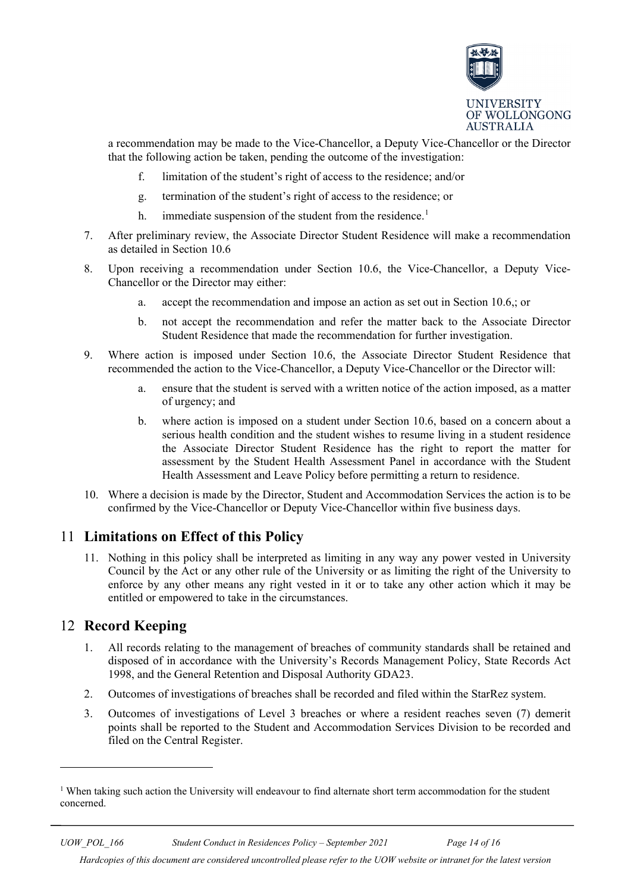

a recommendation may be made to the Vice-Chancellor, a Deputy Vice-Chancellor or the Director that the following action be taken, pending the outcome of the investigation:

- f. limitation of the student's right of access to the residence; and/or
- g. termination of the student's right of access to the residence; or
- h. immediate suspension of the student from the residence.<sup>[1](#page-13-2)</sup>
- 7. After preliminary review, the Associate Director Student Residence will make a recommendation as detailed in Section 10.6
- 8. Upon receiving a recommendation under Section 10.6, the Vice-Chancellor, a Deputy Vice-Chancellor or the Director may either:
	- a. accept the recommendation and impose an action as set out in Section 10.6,; or
	- b. not accept the recommendation and refer the matter back to the Associate Director Student Residence that made the recommendation for further investigation.
- 9. Where action is imposed under Section 10.6, the Associate Director Student Residence that recommended the action to the Vice-Chancellor, a Deputy Vice-Chancellor or the Director will:
	- a. ensure that the student is served with a written notice of the action imposed, as a matter of urgency; and
	- b. where action is imposed on a student under Section 10.6, based on a concern about a serious health condition and the student wishes to resume living in a student residence the Associate Director Student Residence has the right to report the matter for assessment by the Student Health Assessment Panel in accordance with the Student Health Assessment and Leave Policy before permitting a return to residence.
- 10. Where a decision is made by the Director, Student and Accommodation Services the action is to be confirmed by the Vice-Chancellor or Deputy Vice-Chancellor within five business days.

### <span id="page-13-0"></span>11 **Limitations on Effect of this Policy**

11. Nothing in this policy shall be interpreted as limiting in any way any power vested in University Council by the Act or any other rule of the University or as limiting the right of the University to enforce by any other means any right vested in it or to take any other action which it may be entitled or empowered to take in the circumstances.

### <span id="page-13-1"></span>12 **Record Keeping**

-

- 1. All records relating to the management of breaches of community standards shall be retained and disposed of in accordance with the University's Records Management Policy, State Records Act 1998, and the General Retention and Disposal Authority GDA23.
- 2. Outcomes of investigations of breaches shall be recorded and filed within the StarRez system.
- 3. Outcomes of investigations of Level 3 breaches or where a resident reaches seven (7) demerit points shall be reported to the Student and Accommodation Services Division to be recorded and filed on the Central Register.

<span id="page-13-2"></span><sup>&</sup>lt;sup>1</sup> When taking such action the University will endeavour to find alternate short term accommodation for the student concerned.

*Hardcopies of this document are considered uncontrolled please refer to the UOW website or intranet for the latest version*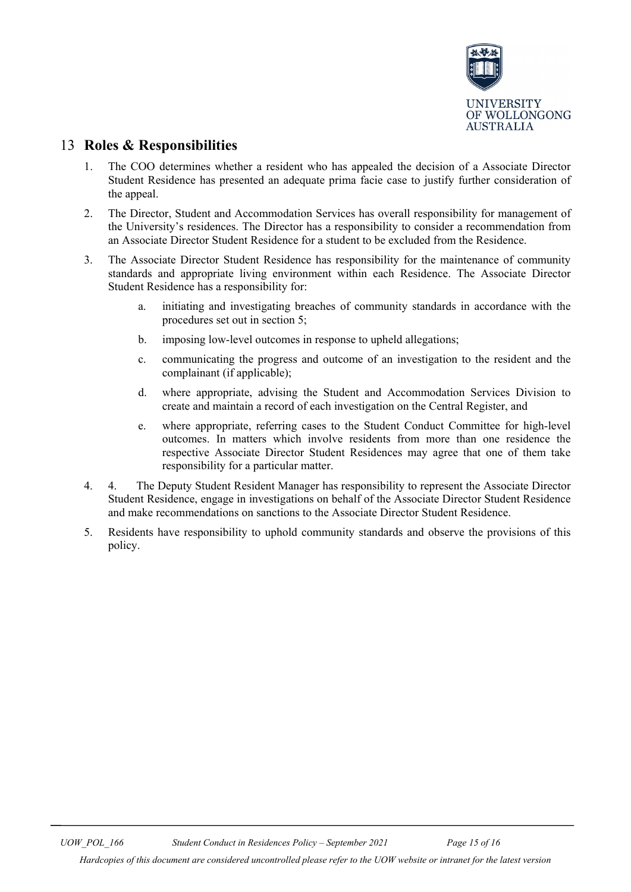

### <span id="page-14-0"></span>13 **Roles & Responsibilities**

- 1. The COO determines whether a resident who has appealed the decision of a Associate Director Student Residence has presented an adequate prima facie case to justify further consideration of the appeal.
- 2. The Director, Student and Accommodation Services has overall responsibility for management of the University's residences. The Director has a responsibility to consider a recommendation from an Associate Director Student Residence for a student to be excluded from the Residence.
- 3. The Associate Director Student Residence has responsibility for the maintenance of community standards and appropriate living environment within each Residence. The Associate Director Student Residence has a responsibility for:
	- a. initiating and investigating breaches of community standards in accordance with the procedures set out in section 5;
	- b. imposing low-level outcomes in response to upheld allegations;
	- c. communicating the progress and outcome of an investigation to the resident and the complainant (if applicable);
	- d. where appropriate, advising the Student and Accommodation Services Division to create and maintain a record of each investigation on the Central Register, and
	- e. where appropriate, referring cases to the Student Conduct Committee for high-level outcomes. In matters which involve residents from more than one residence the respective Associate Director Student Residences may agree that one of them take responsibility for a particular matter.
- 4. 4. The Deputy Student Resident Manager has responsibility to represent the Associate Director Student Residence, engage in investigations on behalf of the Associate Director Student Residence and make recommendations on sanctions to the Associate Director Student Residence.
- 5. Residents have responsibility to uphold community standards and observe the provisions of this policy.